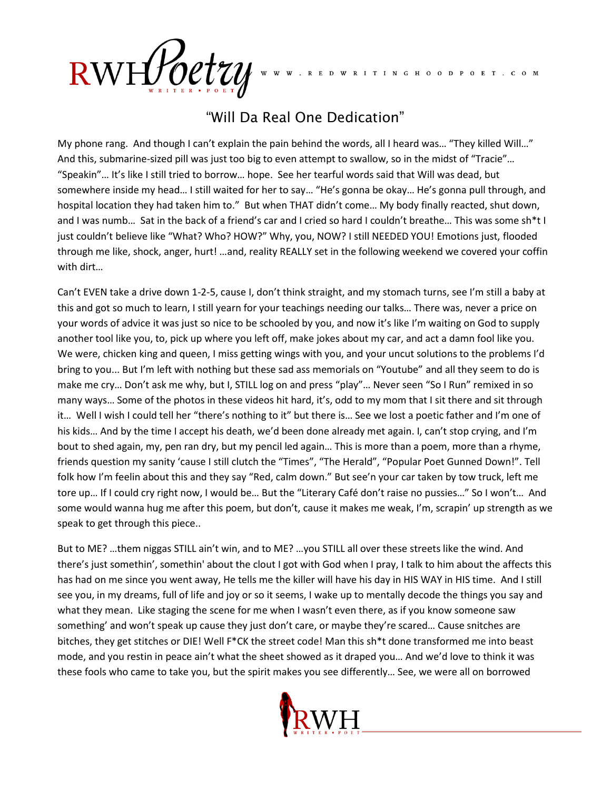RWHPoetzy

RED W RITIN G H O O D P O E T . C O M

## "Will Da Real One Dedication"

My phone rang. And though I can't explain the pain behind the words, all I heard was… "They killed Will…" And this, submarine-sized pill was just too big to even attempt to swallow, so in the midst of "Tracie"… "Speakin"… It's like I still tried to borrow… hope. See her tearful words said that Will was dead, but somewhere inside my head… I still waited for her to say… "He's gonna be okay… He's gonna pull through, and hospital location they had taken him to." But when THAT didn't come… My body finally reacted, shut down, and I was numb… Sat in the back of a friend's car and I cried so hard I couldn't breathe… This was some sh\*t I just couldn't believe like "What? Who? HOW?" Why, you, NOW? I still NEEDED YOU! Emotions just, flooded through me like, shock, anger, hurt! …and, reality REALLY set in the following weekend we covered your coffin with dirt…

Can't EVEN take a drive down 1-2-5, cause I, don't think straight, and my stomach turns, see I'm still a baby at this and got so much to learn, I still yearn for your teachings needing our talks… There was, never a price on your words of advice it was just so nice to be schooled by you, and now it's like I'm waiting on God to supply another tool like you, to, pick up where you left off, make jokes about my car, and act a damn fool like you. We were, chicken king and queen, I miss getting wings with you, and your uncut solutions to the problems I'd bring to you... But I'm left with nothing but these sad ass memorials on "Youtube" and all they seem to do is make me cry… Don't ask me why, but I, STILL log on and press "play"… Never seen "So I Run" remixed in so many ways… Some of the photos in these videos hit hard, it's, odd to my mom that I sit there and sit through it… Well I wish I could tell her "there's nothing to it" but there is… See we lost a poetic father and I'm one of his kids… And by the time I accept his death, we'd been done already met again. I, can't stop crying, and I'm bout to shed again, my, pen ran dry, but my pencil led again… This is more than a poem, more than a rhyme, friends question my sanity 'cause I still clutch the "Times", "The Herald", "Popular Poet Gunned Down!". Tell folk how I'm feelin about this and they say "Red, calm down." But see'n your car taken by tow truck, left me tore up… If I could cry right now, I would be… But the "Literary Café don't raise no pussies…" So I won't… And some would wanna hug me after this poem, but don't, cause it makes me weak, I'm, scrapin' up strength as we speak to get through this piece..

But to ME? …them niggas STILL ain't win, and to ME? …you STILL all over these streets like the wind. And there's just somethin', somethin' about the clout I got with God when I pray, I talk to him about the affects this has had on me since you went away, He tells me the killer will have his day in HIS WAY in HIS time. And I still see you, in my dreams, full of life and joy or so it seems, I wake up to mentally decode the things you say and what they mean. Like staging the scene for me when I wasn't even there, as if you know someone saw something' and won't speak up cause they just don't care, or maybe they're scared… Cause snitches are bitches, they get stitches or DIE! Well F\*CK the street code! Man this sh\*t done transformed me into beast mode, and you restin in peace ain't what the sheet showed as it draped you… And we'd love to think it was these fools who came to take you, but the spirit makes you see differently… See, we were all on borrowed